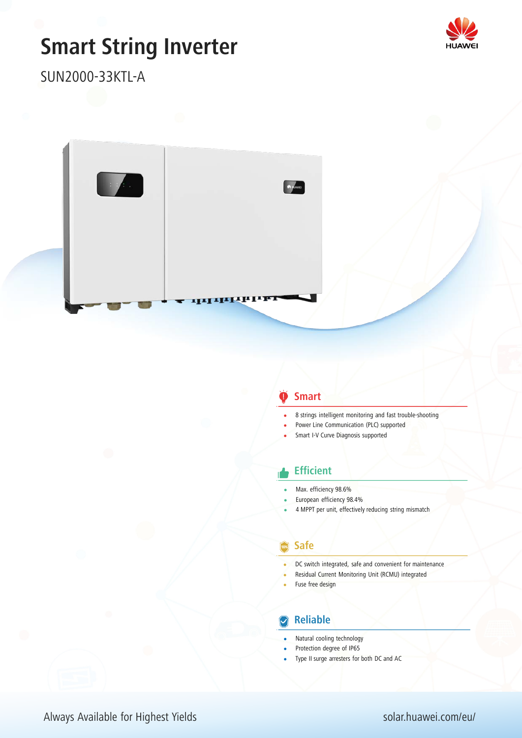# **Smart String Inverter**



SUN2000-33KTL-A



#### **Smart**

- 8 strings intelligent monitoring and fast trouble-shooting
- Power Line Communication (PLC) supported
- Smart I-V Curve Diagnosis supported

#### **Efficient**

- Max. efficiency 98.6%
- European efficiency 98.4%
- 4 MPPT per unit, effectively reducing string mismatch

#### **Safe**

- DC switch integrated, safe and convenient for maintenance
- Residual Current Monitoring Unit (RCMU) integrated
- Fuse free design

#### **Reliable**

- Natural cooling technology
- Protection degree of IP65
- Type II surge arresters for both DC and AC

Always Available for Highest Yields solar.huawei.com/eu/